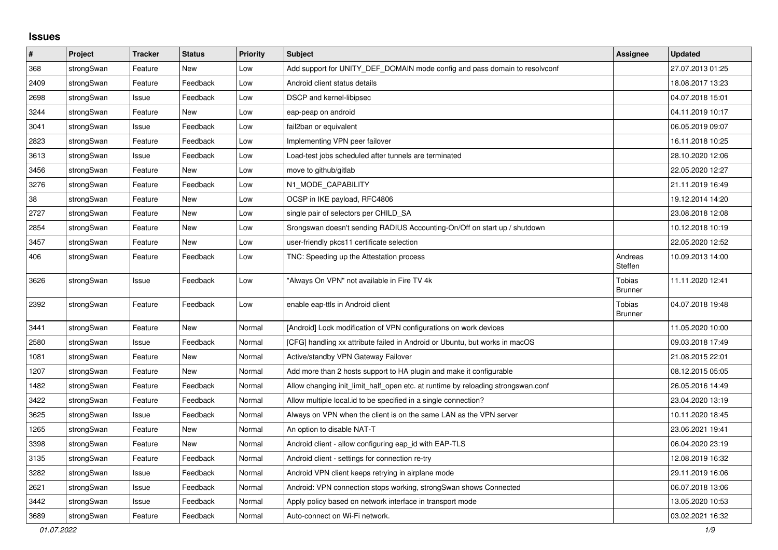## **Issues**

| $\pmb{\#}$ | Project    | <b>Tracker</b> | <b>Status</b> | <b>Priority</b> | <b>Subject</b>                                                                   | <b>Assignee</b>                 | <b>Updated</b>   |
|------------|------------|----------------|---------------|-----------------|----------------------------------------------------------------------------------|---------------------------------|------------------|
| 368        | strongSwan | Feature        | New           | Low             | Add support for UNITY_DEF_DOMAIN mode config and pass domain to resolvconf       |                                 | 27.07.2013 01:25 |
| 2409       | strongSwan | Feature        | Feedback      | Low             | Android client status details                                                    |                                 | 18.08.2017 13:23 |
| 2698       | strongSwan | Issue          | Feedback      | Low             | DSCP and kernel-libipsec                                                         |                                 | 04.07.2018 15:01 |
| 3244       | strongSwan | Feature        | New           | Low             | eap-peap on android                                                              |                                 | 04.11.2019 10:17 |
| 3041       | strongSwan | Issue          | Feedback      | Low             | fail2ban or equivalent                                                           |                                 | 06.05.2019 09:07 |
| 2823       | strongSwan | Feature        | Feedback      | Low             | Implementing VPN peer failover                                                   |                                 | 16.11.2018 10:25 |
| 3613       | strongSwan | Issue          | Feedback      | Low             | Load-test jobs scheduled after tunnels are terminated                            |                                 | 28.10.2020 12:06 |
| 3456       | strongSwan | Feature        | New           | Low             | move to github/gitlab                                                            |                                 | 22.05.2020 12:27 |
| 3276       | strongSwan | Feature        | Feedback      | Low             | N1_MODE_CAPABILITY                                                               |                                 | 21.11.2019 16:49 |
| 38         | strongSwan | Feature        | New           | Low             | OCSP in IKE payload, RFC4806                                                     |                                 | 19.12.2014 14:20 |
| 2727       | strongSwan | Feature        | New           | Low             | single pair of selectors per CHILD SA                                            |                                 | 23.08.2018 12:08 |
| 2854       | strongSwan | Feature        | <b>New</b>    | Low             | Srongswan doesn't sending RADIUS Accounting-On/Off on start up / shutdown        |                                 | 10.12.2018 10:19 |
| 3457       | strongSwan | Feature        | New           | Low             | user-friendly pkcs11 certificate selection                                       |                                 | 22.05.2020 12:52 |
| 406        | strongSwan | Feature        | Feedback      | Low             | TNC: Speeding up the Attestation process                                         | Andreas<br>Steffen              | 10.09.2013 14:00 |
| 3626       | strongSwan | Issue          | Feedback      | Low             | "Always On VPN" not available in Fire TV 4k                                      | Tobias<br><b>Brunner</b>        | 11.11.2020 12:41 |
| 2392       | strongSwan | Feature        | Feedback      | Low             | enable eap-ttls in Android client                                                | <b>Tobias</b><br><b>Brunner</b> | 04.07.2018 19:48 |
| 3441       | strongSwan | Feature        | New           | Normal          | [Android] Lock modification of VPN configurations on work devices                |                                 | 11.05.2020 10:00 |
| 2580       | strongSwan | Issue          | Feedback      | Normal          | [CFG] handling xx attribute failed in Android or Ubuntu, but works in macOS      |                                 | 09.03.2018 17:49 |
| 1081       | strongSwan | Feature        | New           | Normal          | Active/standby VPN Gateway Failover                                              |                                 | 21.08.2015 22:01 |
| 1207       | strongSwan | Feature        | New           | Normal          | Add more than 2 hosts support to HA plugin and make it configurable              |                                 | 08.12.2015 05:05 |
| 1482       | strongSwan | Feature        | Feedback      | Normal          | Allow changing init_limit_half_open etc. at runtime by reloading strongswan.conf |                                 | 26.05.2016 14:49 |
| 3422       | strongSwan | Feature        | Feedback      | Normal          | Allow multiple local id to be specified in a single connection?                  |                                 | 23.04.2020 13:19 |
| 3625       | strongSwan | Issue          | Feedback      | Normal          | Always on VPN when the client is on the same LAN as the VPN server               |                                 | 10.11.2020 18:45 |
| 1265       | strongSwan | Feature        | New           | Normal          | An option to disable NAT-T                                                       |                                 | 23.06.2021 19:41 |
| 3398       | strongSwan | Feature        | New           | Normal          | Android client - allow configuring eap_id with EAP-TLS                           |                                 | 06.04.2020 23:19 |
| 3135       | strongSwan | Feature        | Feedback      | Normal          | Android client - settings for connection re-try                                  |                                 | 12.08.2019 16:32 |
| 3282       | strongSwan | Issue          | Feedback      | Normal          | Android VPN client keeps retrying in airplane mode                               |                                 | 29.11.2019 16:06 |
| 2621       | strongSwan | Issue          | Feedback      | Normal          | Android: VPN connection stops working, strongSwan shows Connected                |                                 | 06.07.2018 13:06 |
| 3442       | strongSwan | Issue          | Feedback      | Normal          | Apply policy based on network interface in transport mode                        |                                 | 13.05.2020 10:53 |
| 3689       | strongSwan | Feature        | Feedback      | Normal          | Auto-connect on Wi-Fi network.                                                   |                                 | 03.02.2021 16:32 |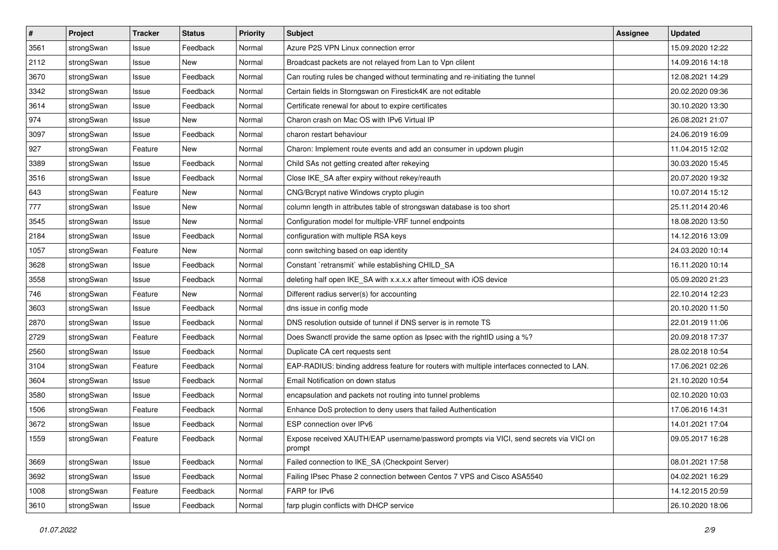| $\pmb{\sharp}$ | Project    | <b>Tracker</b> | <b>Status</b> | <b>Priority</b> | <b>Subject</b>                                                                                   | <b>Assignee</b> | <b>Updated</b>   |
|----------------|------------|----------------|---------------|-----------------|--------------------------------------------------------------------------------------------------|-----------------|------------------|
| 3561           | strongSwan | Issue          | Feedback      | Normal          | Azure P2S VPN Linux connection error                                                             |                 | 15.09.2020 12:22 |
| 2112           | strongSwan | Issue          | <b>New</b>    | Normal          | Broadcast packets are not relayed from Lan to Vpn clilent                                        |                 | 14.09.2016 14:18 |
| 3670           | strongSwan | Issue          | Feedback      | Normal          | Can routing rules be changed without terminating and re-initiating the tunnel                    |                 | 12.08.2021 14:29 |
| 3342           | strongSwan | Issue          | Feedback      | Normal          | Certain fields in Storngswan on Firestick4K are not editable                                     |                 | 20.02.2020 09:36 |
| 3614           | strongSwan | Issue          | Feedback      | Normal          | Certificate renewal for about to expire certificates                                             |                 | 30.10.2020 13:30 |
| 974            | strongSwan | Issue          | New           | Normal          | Charon crash on Mac OS with IPv6 Virtual IP                                                      |                 | 26.08.2021 21:07 |
| 3097           | strongSwan | Issue          | Feedback      | Normal          | charon restart behaviour                                                                         |                 | 24.06.2019 16:09 |
| 927            | strongSwan | Feature        | New           | Normal          | Charon: Implement route events and add an consumer in updown plugin                              |                 | 11.04.2015 12:02 |
| 3389           | strongSwan | Issue          | Feedback      | Normal          | Child SAs not getting created after rekeying                                                     |                 | 30.03.2020 15:45 |
| 3516           | strongSwan | Issue          | Feedback      | Normal          | Close IKE_SA after expiry without rekey/reauth                                                   |                 | 20.07.2020 19:32 |
| 643            | strongSwan | Feature        | New           | Normal          | CNG/Bcrypt native Windows crypto plugin                                                          |                 | 10.07.2014 15:12 |
| 777            | strongSwan | Issue          | <b>New</b>    | Normal          | column length in attributes table of strongswan database is too short                            |                 | 25.11.2014 20:46 |
| 3545           | strongSwan | Issue          | New           | Normal          | Configuration model for multiple-VRF tunnel endpoints                                            |                 | 18.08.2020 13:50 |
| 2184           | strongSwan | Issue          | Feedback      | Normal          | configuration with multiple RSA keys                                                             |                 | 14.12.2016 13:09 |
| 1057           | strongSwan | Feature        | <b>New</b>    | Normal          | conn switching based on eap identity                                                             |                 | 24.03.2020 10:14 |
| 3628           | strongSwan | Issue          | Feedback      | Normal          | Constant `retransmit` while establishing CHILD_SA                                                |                 | 16.11.2020 10:14 |
| 3558           | strongSwan | Issue          | Feedback      | Normal          | deleting half open IKE_SA with x.x.x.x after timeout with iOS device                             |                 | 05.09.2020 21:23 |
| 746            | strongSwan | Feature        | New           | Normal          | Different radius server(s) for accounting                                                        |                 | 22.10.2014 12:23 |
| 3603           | strongSwan | Issue          | Feedback      | Normal          | dns issue in config mode                                                                         |                 | 20.10.2020 11:50 |
| 2870           | strongSwan | Issue          | Feedback      | Normal          | DNS resolution outside of tunnel if DNS server is in remote TS                                   |                 | 22.01.2019 11:06 |
| 2729           | strongSwan | Feature        | Feedback      | Normal          | Does Swanctl provide the same option as Ipsec with the rightID using a %?                        |                 | 20.09.2018 17:37 |
| 2560           | strongSwan | Issue          | Feedback      | Normal          | Duplicate CA cert requests sent                                                                  |                 | 28.02.2018 10:54 |
| 3104           | strongSwan | Feature        | Feedback      | Normal          | EAP-RADIUS: binding address feature for routers with multiple interfaces connected to LAN.       |                 | 17.06.2021 02:26 |
| 3604           | strongSwan | Issue          | Feedback      | Normal          | Email Notification on down status                                                                |                 | 21.10.2020 10:54 |
| 3580           | strongSwan | Issue          | Feedback      | Normal          | encapsulation and packets not routing into tunnel problems                                       |                 | 02.10.2020 10:03 |
| 1506           | strongSwan | Feature        | Feedback      | Normal          | Enhance DoS protection to deny users that failed Authentication                                  |                 | 17.06.2016 14:31 |
| 3672           | strongSwan | Issue          | Feedback      | Normal          | ESP connection over IPv6                                                                         |                 | 14.01.2021 17:04 |
| 1559           | strongSwan | Feature        | Feedback      | Normal          | Expose received XAUTH/EAP username/password prompts via VICI, send secrets via VICI on<br>prompt |                 | 09.05.2017 16:28 |
| 3669           | strongSwan | Issue          | Feedback      | Normal          | Failed connection to IKE_SA (Checkpoint Server)                                                  |                 | 08.01.2021 17:58 |
| 3692           | strongSwan | Issue          | Feedback      | Normal          | Failing IPsec Phase 2 connection between Centos 7 VPS and Cisco ASA5540                          |                 | 04.02.2021 16:29 |
| 1008           | strongSwan | Feature        | Feedback      | Normal          | FARP for IPv6                                                                                    |                 | 14.12.2015 20:59 |
| 3610           | strongSwan | Issue          | Feedback      | Normal          | farp plugin conflicts with DHCP service                                                          |                 | 26.10.2020 18:06 |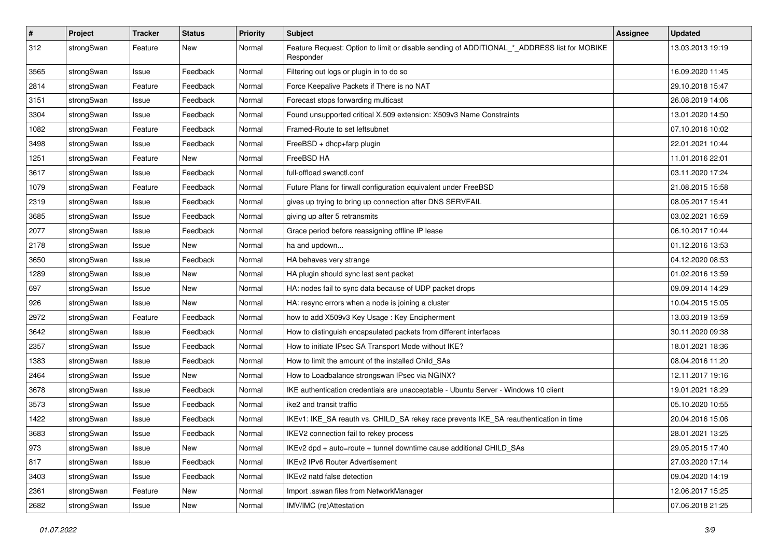| $\pmb{\#}$ | Project    | <b>Tracker</b> | <b>Status</b> | <b>Priority</b> | <b>Subject</b>                                                                                           | Assignee | <b>Updated</b>   |
|------------|------------|----------------|---------------|-----------------|----------------------------------------------------------------------------------------------------------|----------|------------------|
| 312        | strongSwan | Feature        | New           | Normal          | Feature Request: Option to limit or disable sending of ADDITIONAL_*_ADDRESS list for MOBIKE<br>Responder |          | 13.03.2013 19:19 |
| 3565       | strongSwan | Issue          | Feedback      | Normal          | Filtering out logs or plugin in to do so                                                                 |          | 16.09.2020 11:45 |
| 2814       | strongSwan | Feature        | Feedback      | Normal          | Force Keepalive Packets if There is no NAT                                                               |          | 29.10.2018 15:47 |
| 3151       | strongSwan | Issue          | Feedback      | Normal          | Forecast stops forwarding multicast                                                                      |          | 26.08.2019 14:06 |
| 3304       | strongSwan | Issue          | Feedback      | Normal          | Found unsupported critical X.509 extension: X509v3 Name Constraints                                      |          | 13.01.2020 14:50 |
| 1082       | strongSwan | Feature        | Feedback      | Normal          | Framed-Route to set leftsubnet                                                                           |          | 07.10.2016 10:02 |
| 3498       | strongSwan | Issue          | Feedback      | Normal          | FreeBSD + dhcp+farp plugin                                                                               |          | 22.01.2021 10:44 |
| 1251       | strongSwan | Feature        | New           | Normal          | FreeBSD HA                                                                                               |          | 11.01.2016 22:01 |
| 3617       | strongSwan | Issue          | Feedback      | Normal          | full-offload swanctl.conf                                                                                |          | 03.11.2020 17:24 |
| 1079       | strongSwan | Feature        | Feedback      | Normal          | Future Plans for firwall configuration equivalent under FreeBSD                                          |          | 21.08.2015 15:58 |
| 2319       | strongSwan | Issue          | Feedback      | Normal          | gives up trying to bring up connection after DNS SERVFAIL                                                |          | 08.05.2017 15:41 |
| 3685       | strongSwan | Issue          | Feedback      | Normal          | giving up after 5 retransmits                                                                            |          | 03.02.2021 16:59 |
| 2077       | strongSwan | Issue          | Feedback      | Normal          | Grace period before reassigning offline IP lease                                                         |          | 06.10.2017 10:44 |
| 2178       | strongSwan | Issue          | New           | Normal          | ha and updown                                                                                            |          | 01.12.2016 13:53 |
| 3650       | strongSwan | Issue          | Feedback      | Normal          | HA behaves very strange                                                                                  |          | 04.12.2020 08:53 |
| 1289       | strongSwan | Issue          | New           | Normal          | HA plugin should sync last sent packet                                                                   |          | 01.02.2016 13:59 |
| 697        | strongSwan | Issue          | New           | Normal          | HA: nodes fail to sync data because of UDP packet drops                                                  |          | 09.09.2014 14:29 |
| 926        | strongSwan | Issue          | New           | Normal          | HA: resync errors when a node is joining a cluster                                                       |          | 10.04.2015 15:05 |
| 2972       | strongSwan | Feature        | Feedback      | Normal          | how to add X509v3 Key Usage: Key Encipherment                                                            |          | 13.03.2019 13:59 |
| 3642       | strongSwan | Issue          | Feedback      | Normal          | How to distinguish encapsulated packets from different interfaces                                        |          | 30.11.2020 09:38 |
| 2357       | strongSwan | Issue          | Feedback      | Normal          | How to initiate IPsec SA Transport Mode without IKE?                                                     |          | 18.01.2021 18:36 |
| 1383       | strongSwan | Issue          | Feedback      | Normal          | How to limit the amount of the installed Child_SAs                                                       |          | 08.04.2016 11:20 |
| 2464       | strongSwan | Issue          | New           | Normal          | How to Loadbalance strongswan IPsec via NGINX?                                                           |          | 12.11.2017 19:16 |
| 3678       | strongSwan | Issue          | Feedback      | Normal          | IKE authentication credentials are unacceptable - Ubuntu Server - Windows 10 client                      |          | 19.01.2021 18:29 |
| 3573       | strongSwan | Issue          | Feedback      | Normal          | ike2 and transit traffic                                                                                 |          | 05.10.2020 10:55 |
| 1422       | strongSwan | Issue          | Feedback      | Normal          | IKEv1: IKE_SA reauth vs. CHILD_SA rekey race prevents IKE_SA reauthentication in time                    |          | 20.04.2016 15:06 |
| 3683       | strongSwan | Issue          | Feedback      | Normal          | IKEV2 connection fail to rekey process                                                                   |          | 28.01.2021 13:25 |
| 973        | strongSwan | Issue          | New           | Normal          | IKEv2 dpd + auto=route + tunnel downtime cause additional CHILD SAs                                      |          | 29.05.2015 17:40 |
| 817        | strongSwan | Issue          | Feedback      | Normal          | IKEv2 IPv6 Router Advertisement                                                                          |          | 27.03.2020 17:14 |
| 3403       | strongSwan | Issue          | Feedback      | Normal          | IKEv2 natd false detection                                                                               |          | 09.04.2020 14:19 |
| 2361       | strongSwan | Feature        | <b>New</b>    | Normal          | Import .sswan files from NetworkManager                                                                  |          | 12.06.2017 15:25 |
| 2682       | strongSwan | Issue          | New           | Normal          | IMV/IMC (re)Attestation                                                                                  |          | 07.06.2018 21:25 |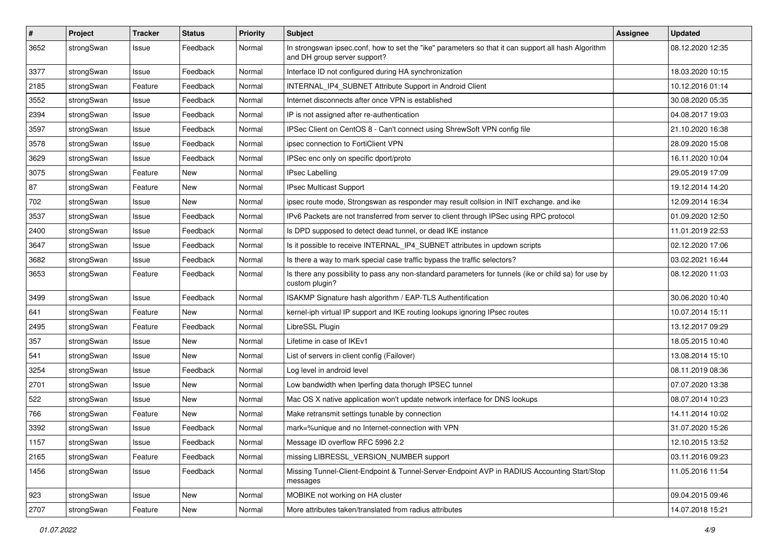| $\sharp$ | Project    | <b>Tracker</b> | <b>Status</b> | <b>Priority</b> | <b>Subject</b>                                                                                                                      | <b>Assignee</b> | <b>Updated</b>   |
|----------|------------|----------------|---------------|-----------------|-------------------------------------------------------------------------------------------------------------------------------------|-----------------|------------------|
| 3652     | strongSwan | Issue          | Feedback      | Normal          | In strongswan ipsec.conf, how to set the "ike" parameters so that it can support all hash Algorithm<br>and DH group server support? |                 | 08.12.2020 12:35 |
| 3377     | strongSwan | Issue          | Feedback      | Normal          | Interface ID not configured during HA synchronization                                                                               |                 | 18.03.2020 10:15 |
| 2185     | strongSwan | Feature        | Feedback      | Normal          | INTERNAL_IP4_SUBNET Attribute Support in Android Client                                                                             |                 | 10.12.2016 01:14 |
| 3552     | strongSwan | Issue          | Feedback      | Normal          | Internet disconnects after once VPN is established                                                                                  |                 | 30.08.2020 05:35 |
| 2394     | strongSwan | Issue          | Feedback      | Normal          | IP is not assigned after re-authentication                                                                                          |                 | 04.08.2017 19:03 |
| 3597     | strongSwan | Issue          | Feedback      | Normal          | IPSec Client on CentOS 8 - Can't connect using ShrewSoft VPN config file                                                            |                 | 21.10.2020 16:38 |
| 3578     | strongSwan | Issue          | Feedback      | Normal          | ipsec connection to FortiClient VPN                                                                                                 |                 | 28.09.2020 15:08 |
| 3629     | strongSwan | Issue          | Feedback      | Normal          | IPSec enc only on specific dport/proto                                                                                              |                 | 16.11.2020 10:04 |
| 3075     | strongSwan | Feature        | New           | Normal          | <b>IPsec Labelling</b>                                                                                                              |                 | 29.05.2019 17:09 |
| 87       | strongSwan | Feature        | New           | Normal          | <b>IPsec Multicast Support</b>                                                                                                      |                 | 19.12.2014 14:20 |
| 702      | strongSwan | Issue          | New           | Normal          | ipsec route mode, Strongswan as responder may result collsion in INIT exchange. and ike                                             |                 | 12.09.2014 16:34 |
| 3537     | strongSwan | Issue          | Feedback      | Normal          | IPv6 Packets are not transferred from server to client through IPSec using RPC protocol                                             |                 | 01.09.2020 12:50 |
| 2400     | strongSwan | Issue          | Feedback      | Normal          | Is DPD supposed to detect dead tunnel, or dead IKE instance                                                                         |                 | 11.01.2019 22:53 |
| 3647     | strongSwan | Issue          | Feedback      | Normal          | Is it possible to receive INTERNAL_IP4_SUBNET attributes in updown scripts                                                          |                 | 02.12.2020 17:06 |
| 3682     | strongSwan | Issue          | Feedback      | Normal          | Is there a way to mark special case traffic bypass the traffic selectors?                                                           |                 | 03.02.2021 16:44 |
| 3653     | strongSwan | Feature        | Feedback      | Normal          | Is there any possibility to pass any non-standard parameters for tunnels (ike or child sa) for use by<br>custom plugin?             |                 | 08.12.2020 11:03 |
| 3499     | strongSwan | Issue          | Feedback      | Normal          | ISAKMP Signature hash algorithm / EAP-TLS Authentification                                                                          |                 | 30.06.2020 10:40 |
| 641      | strongSwan | Feature        | New           | Normal          | kernel-iph virtual IP support and IKE routing lookups ignoring IPsec routes                                                         |                 | 10.07.2014 15:11 |
| 2495     | strongSwan | Feature        | Feedback      | Normal          | LibreSSL Plugin                                                                                                                     |                 | 13.12.2017 09:29 |
| 357      | strongSwan | Issue          | <b>New</b>    | Normal          | Lifetime in case of IKEv1                                                                                                           |                 | 18.05.2015 10:40 |
| 541      | strongSwan | Issue          | New           | Normal          | List of servers in client config (Failover)                                                                                         |                 | 13.08.2014 15:10 |
| 3254     | strongSwan | Issue          | Feedback      | Normal          | Log level in android level                                                                                                          |                 | 08.11.2019 08:36 |
| 2701     | strongSwan | Issue          | <b>New</b>    | Normal          | Low bandwidth when Iperfing data thorugh IPSEC tunnel                                                                               |                 | 07.07.2020 13:38 |
| 522      | strongSwan | Issue          | <b>New</b>    | Normal          | Mac OS X native application won't update network interface for DNS lookups                                                          |                 | 08.07.2014 10:23 |
| 766      | strongSwan | Feature        | <b>New</b>    | Normal          | Make retransmit settings tunable by connection                                                                                      |                 | 14.11.2014 10:02 |
| 3392     | strongSwan | Issue          | Feedback      | Normal          | mark=%unique and no Internet-connection with VPN                                                                                    |                 | 31.07.2020 15:26 |
| 1157     | strongSwan | Issue          | Feedback      | Normal          | Message ID overflow RFC 5996 2.2                                                                                                    |                 | 12.10.2015 13:52 |
| 2165     | strongSwan | Feature        | Feedback      | Normal          | missing LIBRESSL_VERSION_NUMBER support                                                                                             |                 | 03.11.2016 09:23 |
| 1456     | strongSwan | Issue          | Feedback      | Normal          | Missing Tunnel-Client-Endpoint & Tunnel-Server-Endpoint AVP in RADIUS Accounting Start/Stop<br>messages                             |                 | 11.05.2016 11:54 |
| 923      | strongSwan | Issue          | New           | Normal          | MOBIKE not working on HA cluster                                                                                                    |                 | 09.04.2015 09:46 |
| 2707     | strongSwan | Feature        | New           | Normal          | More attributes taken/translated from radius attributes                                                                             |                 | 14.07.2018 15:21 |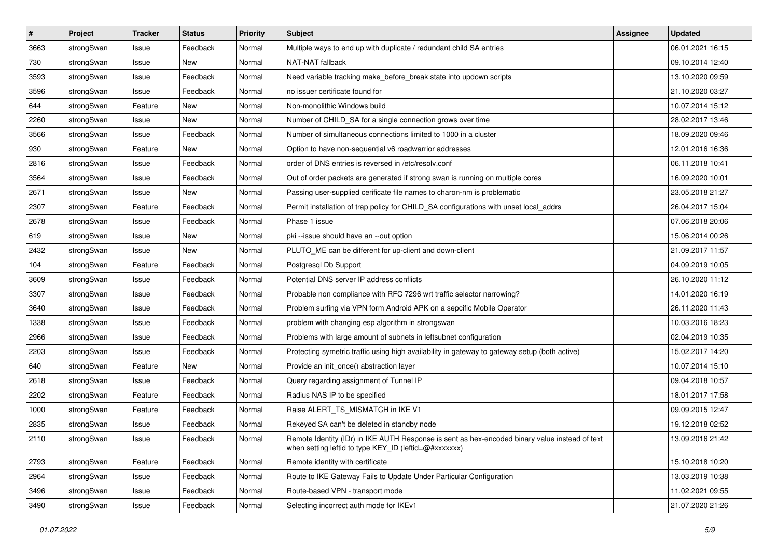| $\pmb{\#}$ | Project    | <b>Tracker</b> | <b>Status</b> | <b>Priority</b> | <b>Subject</b>                                                                                                                                          | <b>Assignee</b> | <b>Updated</b>   |
|------------|------------|----------------|---------------|-----------------|---------------------------------------------------------------------------------------------------------------------------------------------------------|-----------------|------------------|
| 3663       | strongSwan | Issue          | Feedback      | Normal          | Multiple ways to end up with duplicate / redundant child SA entries                                                                                     |                 | 06.01.2021 16:15 |
| 730        | strongSwan | Issue          | New           | Normal          | NAT-NAT fallback                                                                                                                                        |                 | 09.10.2014 12:40 |
| 3593       | strongSwan | Issue          | Feedback      | Normal          | Need variable tracking make_before_break state into updown scripts                                                                                      |                 | 13.10.2020 09:59 |
| 3596       | strongSwan | Issue          | Feedback      | Normal          | no issuer certificate found for                                                                                                                         |                 | 21.10.2020 03:27 |
| 644        | strongSwan | Feature        | New           | Normal          | Non-monolithic Windows build                                                                                                                            |                 | 10.07.2014 15:12 |
| 2260       | strongSwan | Issue          | New           | Normal          | Number of CHILD_SA for a single connection grows over time                                                                                              |                 | 28.02.2017 13:46 |
| 3566       | strongSwan | Issue          | Feedback      | Normal          | Number of simultaneous connections limited to 1000 in a cluster                                                                                         |                 | 18.09.2020 09:46 |
| 930        | strongSwan | Feature        | New           | Normal          | Option to have non-sequential v6 roadwarrior addresses                                                                                                  |                 | 12.01.2016 16:36 |
| 2816       | strongSwan | Issue          | Feedback      | Normal          | order of DNS entries is reversed in /etc/resolv.conf                                                                                                    |                 | 06.11.2018 10:41 |
| 3564       | strongSwan | Issue          | Feedback      | Normal          | Out of order packets are generated if strong swan is running on multiple cores                                                                          |                 | 16.09.2020 10:01 |
| 2671       | strongSwan | Issue          | New           | Normal          | Passing user-supplied cerificate file names to charon-nm is problematic                                                                                 |                 | 23.05.2018 21:27 |
| 2307       | strongSwan | Feature        | Feedback      | Normal          | Permit installation of trap policy for CHILD_SA configurations with unset local_addrs                                                                   |                 | 26.04.2017 15:04 |
| 2678       | strongSwan | Issue          | Feedback      | Normal          | Phase 1 issue                                                                                                                                           |                 | 07.06.2018 20:06 |
| 619        | strongSwan | Issue          | New           | Normal          | pki --issue should have an --out option                                                                                                                 |                 | 15.06.2014 00:26 |
| 2432       | strongSwan | Issue          | New           | Normal          | PLUTO_ME can be different for up-client and down-client                                                                                                 |                 | 21.09.2017 11:57 |
| 104        | strongSwan | Feature        | Feedback      | Normal          | Postgresql Db Support                                                                                                                                   |                 | 04.09.2019 10:05 |
| 3609       | strongSwan | Issue          | Feedback      | Normal          | Potential DNS server IP address conflicts                                                                                                               |                 | 26.10.2020 11:12 |
| 3307       | strongSwan | Issue          | Feedback      | Normal          | Probable non compliance with RFC 7296 wrt traffic selector narrowing?                                                                                   |                 | 14.01.2020 16:19 |
| 3640       | strongSwan | Issue          | Feedback      | Normal          | Problem surfing via VPN form Android APK on a sepcific Mobile Operator                                                                                  |                 | 26.11.2020 11:43 |
| 1338       | strongSwan | Issue          | Feedback      | Normal          | problem with changing esp algorithm in strongswan                                                                                                       |                 | 10.03.2016 18:23 |
| 2966       | strongSwan | Issue          | Feedback      | Normal          | Problems with large amount of subnets in leftsubnet configuration                                                                                       |                 | 02.04.2019 10:35 |
| 2203       | strongSwan | Issue          | Feedback      | Normal          | Protecting symetric traffic using high availability in gateway to gateway setup (both active)                                                           |                 | 15.02.2017 14:20 |
| 640        | strongSwan | Feature        | New           | Normal          | Provide an init_once() abstraction layer                                                                                                                |                 | 10.07.2014 15:10 |
| 2618       | strongSwan | Issue          | Feedback      | Normal          | Query regarding assignment of Tunnel IP                                                                                                                 |                 | 09.04.2018 10:57 |
| 2202       | strongSwan | Feature        | Feedback      | Normal          | Radius NAS IP to be specified                                                                                                                           |                 | 18.01.2017 17:58 |
| 1000       | strongSwan | Feature        | Feedback      | Normal          | Raise ALERT_TS_MISMATCH in IKE V1                                                                                                                       |                 | 09.09.2015 12:47 |
| 2835       | strongSwan | Issue          | Feedback      | Normal          | Rekeyed SA can't be deleted in standby node                                                                                                             |                 | 19.12.2018 02:52 |
| 2110       | strongSwan | Issue          | Feedback      | Normal          | Remote Identity (IDr) in IKE AUTH Response is sent as hex-encoded binary value instead of text<br>when setting leftid to type KEY_ID (leftid=@#xxxxxxx) |                 | 13.09.2016 21:42 |
| 2793       | strongSwan | Feature        | Feedback      | Normal          | Remote identity with certificate                                                                                                                        |                 | 15.10.2018 10:20 |
| 2964       | strongSwan | Issue          | Feedback      | Normal          | Route to IKE Gateway Fails to Update Under Particular Configuration                                                                                     |                 | 13.03.2019 10:38 |
| 3496       | strongSwan | Issue          | Feedback      | Normal          | Route-based VPN - transport mode                                                                                                                        |                 | 11.02.2021 09:55 |
| 3490       | strongSwan | Issue          | Feedback      | Normal          | Selecting incorrect auth mode for IKEv1                                                                                                                 |                 | 21.07.2020 21:26 |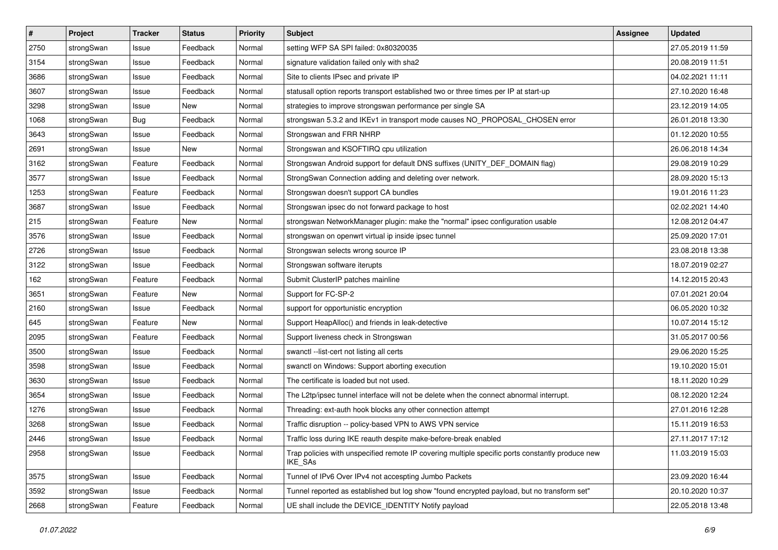| $\sharp$ | Project    | <b>Tracker</b> | <b>Status</b> | <b>Priority</b> | <b>Subject</b>                                                                                              | <b>Assignee</b> | <b>Updated</b>   |
|----------|------------|----------------|---------------|-----------------|-------------------------------------------------------------------------------------------------------------|-----------------|------------------|
| 2750     | strongSwan | Issue          | Feedback      | Normal          | setting WFP SA SPI failed: 0x80320035                                                                       |                 | 27.05.2019 11:59 |
| 3154     | strongSwan | Issue          | Feedback      | Normal          | signature validation failed only with sha2                                                                  |                 | 20.08.2019 11:51 |
| 3686     | strongSwan | Issue          | Feedback      | Normal          | Site to clients IPsec and private IP                                                                        |                 | 04.02.2021 11:11 |
| 3607     | strongSwan | Issue          | Feedback      | Normal          | statusall option reports transport established two or three times per IP at start-up                        |                 | 27.10.2020 16:48 |
| 3298     | strongSwan | Issue          | New           | Normal          | strategies to improve strongswan performance per single SA                                                  |                 | 23.12.2019 14:05 |
| 1068     | strongSwan | <b>Bug</b>     | Feedback      | Normal          | strongswan 5.3.2 and IKEv1 in transport mode causes NO_PROPOSAL_CHOSEN error                                |                 | 26.01.2018 13:30 |
| 3643     | strongSwan | Issue          | Feedback      | Normal          | Strongswan and FRR NHRP                                                                                     |                 | 01.12.2020 10:55 |
| 2691     | strongSwan | Issue          | New           | Normal          | Strongswan and KSOFTIRQ cpu utilization                                                                     |                 | 26.06.2018 14:34 |
| 3162     | strongSwan | Feature        | Feedback      | Normal          | Strongswan Android support for default DNS suffixes (UNITY_DEF_DOMAIN flag)                                 |                 | 29.08.2019 10:29 |
| 3577     | strongSwan | Issue          | Feedback      | Normal          | StrongSwan Connection adding and deleting over network.                                                     |                 | 28.09.2020 15:13 |
| 1253     | strongSwan | Feature        | Feedback      | Normal          | Strongswan doesn't support CA bundles                                                                       |                 | 19.01.2016 11:23 |
| 3687     | strongSwan | Issue          | Feedback      | Normal          | Strongswan ipsec do not forward package to host                                                             |                 | 02.02.2021 14:40 |
| 215      | strongSwan | Feature        | New           | Normal          | strongswan NetworkManager plugin: make the "normal" ipsec configuration usable                              |                 | 12.08.2012 04:47 |
| 3576     | strongSwan | Issue          | Feedback      | Normal          | strongswan on openwrt virtual ip inside ipsec tunnel                                                        |                 | 25.09.2020 17:01 |
| 2726     | strongSwan | Issue          | Feedback      | Normal          | Strongswan selects wrong source IP                                                                          |                 | 23.08.2018 13:38 |
| 3122     | strongSwan | Issue          | Feedback      | Normal          | Strongswan software iterupts                                                                                |                 | 18.07.2019 02:27 |
| 162      | strongSwan | Feature        | Feedback      | Normal          | Submit ClusterIP patches mainline                                                                           |                 | 14.12.2015 20:43 |
| 3651     | strongSwan | Feature        | New           | Normal          | Support for FC-SP-2                                                                                         |                 | 07.01.2021 20:04 |
| 2160     | strongSwan | Issue          | Feedback      | Normal          | support for opportunistic encryption                                                                        |                 | 06.05.2020 10:32 |
| 645      | strongSwan | Feature        | New           | Normal          | Support HeapAlloc() and friends in leak-detective                                                           |                 | 10.07.2014 15:12 |
| 2095     | strongSwan | Feature        | Feedback      | Normal          | Support liveness check in Strongswan                                                                        |                 | 31.05.2017 00:56 |
| 3500     | strongSwan | Issue          | Feedback      | Normal          | swanctl --list-cert not listing all certs                                                                   |                 | 29.06.2020 15:25 |
| 3598     | strongSwan | Issue          | Feedback      | Normal          | swanctl on Windows: Support aborting execution                                                              |                 | 19.10.2020 15:01 |
| 3630     | strongSwan | Issue          | Feedback      | Normal          | The certificate is loaded but not used.                                                                     |                 | 18.11.2020 10:29 |
| 3654     | strongSwan | Issue          | Feedback      | Normal          | The L2tp/ipsec tunnel interface will not be delete when the connect abnormal interrupt.                     |                 | 08.12.2020 12:24 |
| 1276     | strongSwan | Issue          | Feedback      | Normal          | Threading: ext-auth hook blocks any other connection attempt                                                |                 | 27.01.2016 12:28 |
| 3268     | strongSwan | Issue          | Feedback      | Normal          | Traffic disruption -- policy-based VPN to AWS VPN service                                                   |                 | 15.11.2019 16:53 |
| 2446     | strongSwan | Issue          | Feedback      | Normal          | Traffic loss during IKE reauth despite make-before-break enabled                                            |                 | 27.11.2017 17:12 |
| 2958     | strongSwan | Issue          | Feedback      | Normal          | Trap policies with unspecified remote IP covering multiple specific ports constantly produce new<br>IKE_SAs |                 | 11.03.2019 15:03 |
| 3575     | strongSwan | Issue          | Feedback      | Normal          | Tunnel of IPv6 Over IPv4 not accespting Jumbo Packets                                                       |                 | 23.09.2020 16:44 |
| 3592     | strongSwan | Issue          | Feedback      | Normal          | Tunnel reported as established but log show "found encrypted payload, but no transform set"                 |                 | 20.10.2020 10:37 |
| 2668     | strongSwan | Feature        | Feedback      | Normal          | UE shall include the DEVICE_IDENTITY Notify payload                                                         |                 | 22.05.2018 13:48 |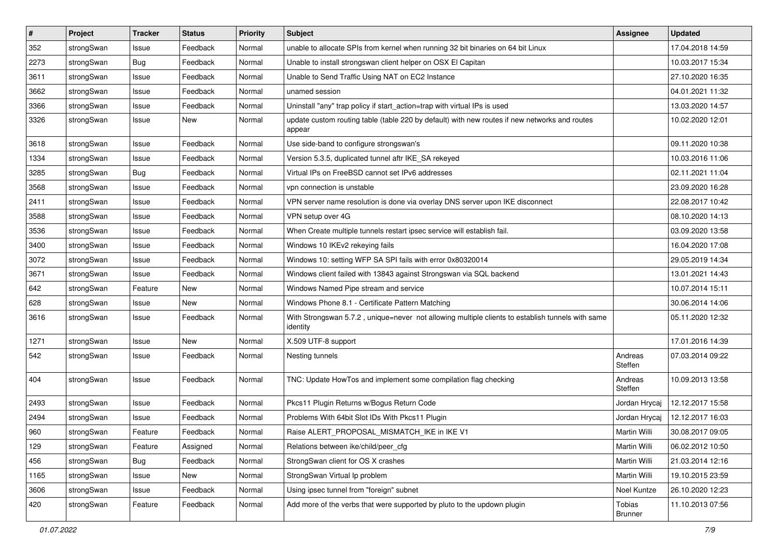| $\sharp$ | Project    | <b>Tracker</b> | <b>Status</b> | <b>Priority</b> | <b>Subject</b>                                                                                               | Assignee                 | <b>Updated</b>   |
|----------|------------|----------------|---------------|-----------------|--------------------------------------------------------------------------------------------------------------|--------------------------|------------------|
| 352      | strongSwan | Issue          | Feedback      | Normal          | unable to allocate SPIs from kernel when running 32 bit binaries on 64 bit Linux                             |                          | 17.04.2018 14:59 |
| 2273     | strongSwan | Bug            | Feedback      | Normal          | Unable to install strongswan client helper on OSX El Capitan                                                 |                          | 10.03.2017 15:34 |
| 3611     | strongSwan | Issue          | Feedback      | Normal          | Unable to Send Traffic Using NAT on EC2 Instance                                                             |                          | 27.10.2020 16:35 |
| 3662     | strongSwan | Issue          | Feedback      | Normal          | unamed session                                                                                               |                          | 04.01.2021 11:32 |
| 3366     | strongSwan | Issue          | Feedback      | Normal          | Uninstall "any" trap policy if start_action=trap with virtual IPs is used                                    |                          | 13.03.2020 14:57 |
| 3326     | strongSwan | Issue          | <b>New</b>    | Normal          | update custom routing table (table 220 by default) with new routes if new networks and routes<br>appear      |                          | 10.02.2020 12:01 |
| 3618     | strongSwan | Issue          | Feedback      | Normal          | Use side-band to configure strongswan's                                                                      |                          | 09.11.2020 10:38 |
| 1334     | strongSwan | Issue          | Feedback      | Normal          | Version 5.3.5, duplicated tunnel aftr IKE_SA rekeyed                                                         |                          | 10.03.2016 11:06 |
| 3285     | strongSwan | Bug            | Feedback      | Normal          | Virtual IPs on FreeBSD cannot set IPv6 addresses                                                             |                          | 02.11.2021 11:04 |
| 3568     | strongSwan | Issue          | Feedback      | Normal          | vpn connection is unstable                                                                                   |                          | 23.09.2020 16:28 |
| 2411     | strongSwan | Issue          | Feedback      | Normal          | VPN server name resolution is done via overlay DNS server upon IKE disconnect                                |                          | 22.08.2017 10:42 |
| 3588     | strongSwan | Issue          | Feedback      | Normal          | VPN setup over 4G                                                                                            |                          | 08.10.2020 14:13 |
| 3536     | strongSwan | Issue          | Feedback      | Normal          | When Create multiple tunnels restart ipsec service will establish fail.                                      |                          | 03.09.2020 13:58 |
| 3400     | strongSwan | Issue          | Feedback      | Normal          | Windows 10 IKEv2 rekeying fails                                                                              |                          | 16.04.2020 17:08 |
| 3072     | strongSwan | Issue          | Feedback      | Normal          | Windows 10: setting WFP SA SPI fails with error 0x80320014                                                   |                          | 29.05.2019 14:34 |
| 3671     | strongSwan | Issue          | Feedback      | Normal          | Windows client failed with 13843 against Strongswan via SQL backend                                          |                          | 13.01.2021 14:43 |
| 642      | strongSwan | Feature        | New           | Normal          | Windows Named Pipe stream and service                                                                        |                          | 10.07.2014 15:11 |
| 628      | strongSwan | Issue          | New           | Normal          | Windows Phone 8.1 - Certificate Pattern Matching                                                             |                          | 30.06.2014 14:06 |
| 3616     | strongSwan | Issue          | Feedback      | Normal          | With Strongswan 5.7.2, unique=never not allowing multiple clients to establish tunnels with same<br>identity |                          | 05.11.2020 12:32 |
| 1271     | strongSwan | Issue          | <b>New</b>    | Normal          | X.509 UTF-8 support                                                                                          |                          | 17.01.2016 14:39 |
| 542      | strongSwan | Issue          | Feedback      | Normal          | Nesting tunnels                                                                                              | Andreas<br>Steffen       | 07.03.2014 09:22 |
| 404      | strongSwan | Issue          | Feedback      | Normal          | TNC: Update HowTos and implement some compilation flag checking                                              | Andreas<br>Steffen       | 10.09.2013 13:58 |
| 2493     | strongSwan | Issue          | Feedback      | Normal          | Pkcs11 Plugin Returns w/Bogus Return Code                                                                    | Jordan Hrycaj            | 12.12.2017 15:58 |
| 2494     | strongSwan | Issue          | Feedback      | Normal          | Problems With 64bit Slot IDs With Pkcs11 Plugin                                                              | Jordan Hrycaj            | 12.12.2017 16:03 |
| 960      | strongSwan | Feature        | Feedback      | Normal          | Raise ALERT_PROPOSAL_MISMATCH_IKE in IKE V1                                                                  | Martin Willi             | 30.08.2017 09:05 |
| 129      | strongSwan | Feature        | Assigned      | Normal          | Relations between ike/child/peer cfg                                                                         | Martin Willi             | 06.02.2012 10:50 |
| 456      | strongSwan | <b>Bug</b>     | Feedback      | Normal          | StrongSwan client for OS X crashes                                                                           | Martin Willi             | 21.03.2014 12:16 |
| 1165     | strongSwan | Issue          | New           | Normal          | StrongSwan Virtual Ip problem                                                                                | Martin Willi             | 19.10.2015 23:59 |
| 3606     | strongSwan | Issue          | Feedback      | Normal          | Using ipsec tunnel from "foreign" subnet                                                                     | Noel Kuntze              | 26.10.2020 12:23 |
| 420      | strongSwan | Feature        | Feedback      | Normal          | Add more of the verbs that were supported by pluto to the updown plugin                                      | Tobias<br><b>Brunner</b> | 11.10.2013 07:56 |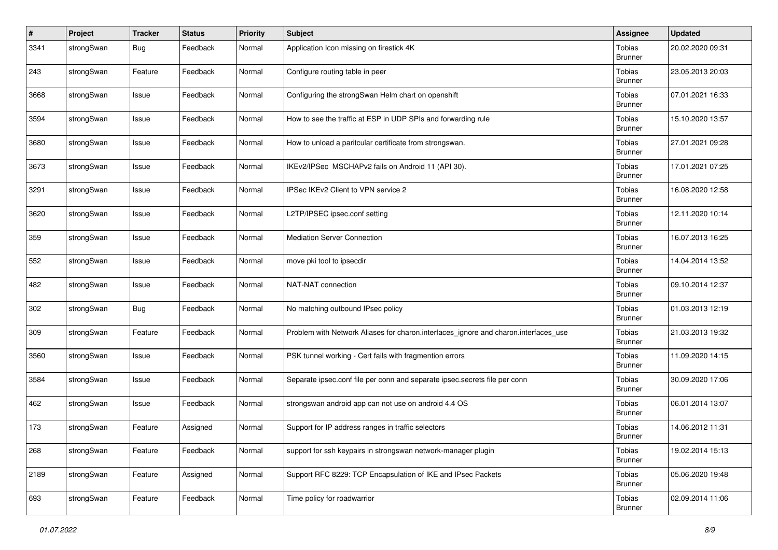| #    | Project    | <b>Tracker</b> | <b>Status</b> | <b>Priority</b> | Subject                                                                             | Assignee                        | <b>Updated</b>   |
|------|------------|----------------|---------------|-----------------|-------------------------------------------------------------------------------------|---------------------------------|------------------|
| 3341 | strongSwan | <b>Bug</b>     | Feedback      | Normal          | Application Icon missing on firestick 4K                                            | Tobias<br><b>Brunner</b>        | 20.02.2020 09:31 |
| 243  | strongSwan | Feature        | Feedback      | Normal          | Configure routing table in peer                                                     | <b>Tobias</b><br><b>Brunner</b> | 23.05.2013 20:03 |
| 3668 | strongSwan | Issue          | Feedback      | Normal          | Configuring the strongSwan Helm chart on openshift                                  | <b>Tobias</b><br><b>Brunner</b> | 07.01.2021 16:33 |
| 3594 | strongSwan | Issue          | Feedback      | Normal          | How to see the traffic at ESP in UDP SPIs and forwarding rule                       | <b>Tobias</b><br><b>Brunner</b> | 15.10.2020 13:57 |
| 3680 | strongSwan | Issue          | Feedback      | Normal          | How to unload a paritcular certificate from strongswan.                             | Tobias<br><b>Brunner</b>        | 27.01.2021 09:28 |
| 3673 | strongSwan | Issue          | Feedback      | Normal          | IKEv2/IPSec MSCHAPv2 fails on Android 11 (API 30).                                  | <b>Tobias</b><br><b>Brunner</b> | 17.01.2021 07:25 |
| 3291 | strongSwan | Issue          | Feedback      | Normal          | IPSec IKEv2 Client to VPN service 2                                                 | <b>Tobias</b><br><b>Brunner</b> | 16.08.2020 12:58 |
| 3620 | strongSwan | Issue          | Feedback      | Normal          | L2TP/IPSEC ipsec.conf setting                                                       | <b>Tobias</b><br><b>Brunner</b> | 12.11.2020 10:14 |
| 359  | strongSwan | Issue          | Feedback      | Normal          | <b>Mediation Server Connection</b>                                                  | <b>Tobias</b><br><b>Brunner</b> | 16.07.2013 16:25 |
| 552  | strongSwan | Issue          | Feedback      | Normal          | move pki tool to ipsecdir                                                           | Tobias<br><b>Brunner</b>        | 14.04.2014 13:52 |
| 482  | strongSwan | Issue          | Feedback      | Normal          | NAT-NAT connection                                                                  | <b>Tobias</b><br><b>Brunner</b> | 09.10.2014 12:37 |
| 302  | strongSwan | <b>Bug</b>     | Feedback      | Normal          | No matching outbound IPsec policy                                                   | Tobias<br><b>Brunner</b>        | 01.03.2013 12:19 |
| 309  | strongSwan | Feature        | Feedback      | Normal          | Problem with Network Aliases for charon.interfaces_ignore and charon.interfaces_use | <b>Tobias</b><br><b>Brunner</b> | 21.03.2013 19:32 |
| 3560 | strongSwan | Issue          | Feedback      | Normal          | PSK tunnel working - Cert fails with fragmention errors                             | <b>Tobias</b><br><b>Brunner</b> | 11.09.2020 14:15 |
| 3584 | strongSwan | Issue          | Feedback      | Normal          | Separate ipsec.conf file per conn and separate ipsec.secrets file per conn          | Tobias<br><b>Brunner</b>        | 30.09.2020 17:06 |
| 462  | strongSwan | Issue          | Feedback      | Normal          | strongswan android app can not use on android 4.4 OS                                | <b>Tobias</b><br><b>Brunner</b> | 06.01.2014 13:07 |
| 173  | strongSwan | Feature        | Assigned      | Normal          | Support for IP address ranges in traffic selectors                                  | <b>Tobias</b><br><b>Brunner</b> | 14.06.2012 11:31 |
| 268  | strongSwan | Feature        | Feedback      | Normal          | support for ssh keypairs in strongswan network-manager plugin                       | <b>Tobias</b><br><b>Brunner</b> | 19.02.2014 15:13 |
| 2189 | strongSwan | Feature        | Assigned      | Normal          | Support RFC 8229: TCP Encapsulation of IKE and IPsec Packets                        | <b>Tobias</b><br><b>Brunner</b> | 05.06.2020 19:48 |
| 693  | strongSwan | Feature        | Feedback      | Normal          | Time policy for roadwarrior                                                         | <b>Tobias</b><br><b>Brunner</b> | 02.09.2014 11:06 |